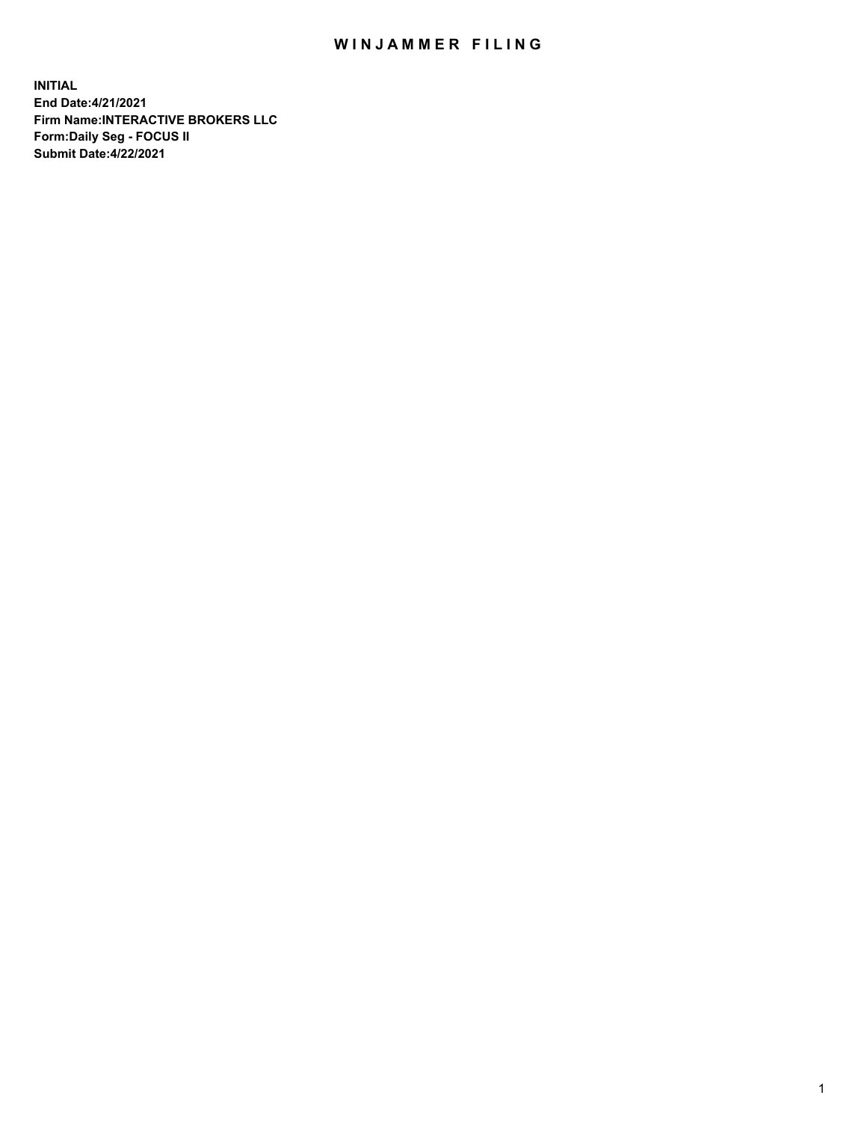## WIN JAMMER FILING

**INITIAL End Date:4/21/2021 Firm Name:INTERACTIVE BROKERS LLC Form:Daily Seg - FOCUS II Submit Date:4/22/2021**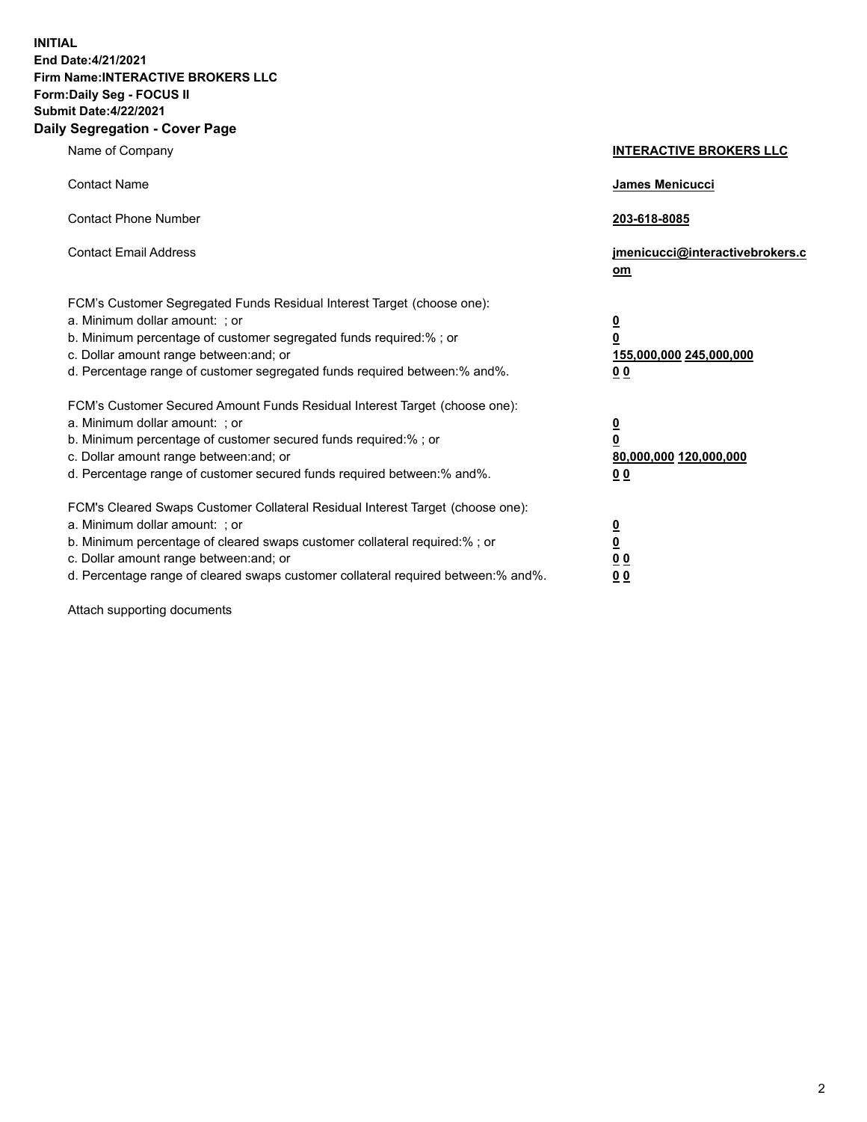**INITIAL End Date:4/21/2021 Firm Name:INTERACTIVE BROKERS LLC Form:Daily Seg - FOCUS II Submit Date:4/22/2021 Daily Segregation - Cover Page**

| Name of Company                                                                                                                                                                                                                                                                                                                | <b>INTERACTIVE BROKERS LLC</b>                                                                  |
|--------------------------------------------------------------------------------------------------------------------------------------------------------------------------------------------------------------------------------------------------------------------------------------------------------------------------------|-------------------------------------------------------------------------------------------------|
| <b>Contact Name</b>                                                                                                                                                                                                                                                                                                            | James Menicucci                                                                                 |
| <b>Contact Phone Number</b>                                                                                                                                                                                                                                                                                                    | 203-618-8085                                                                                    |
| <b>Contact Email Address</b>                                                                                                                                                                                                                                                                                                   | jmenicucci@interactivebrokers.c<br>om                                                           |
| FCM's Customer Segregated Funds Residual Interest Target (choose one):<br>a. Minimum dollar amount: ; or<br>b. Minimum percentage of customer segregated funds required:% ; or<br>c. Dollar amount range between: and; or<br>d. Percentage range of customer segregated funds required between:% and%.                         | $\overline{\mathbf{0}}$<br>$\overline{\mathbf{0}}$<br>155,000,000 245,000,000<br>0 <sub>0</sub> |
| FCM's Customer Secured Amount Funds Residual Interest Target (choose one):<br>a. Minimum dollar amount: ; or<br>b. Minimum percentage of customer secured funds required:% ; or<br>c. Dollar amount range between: and; or<br>d. Percentage range of customer secured funds required between:% and%.                           | $\overline{\mathbf{0}}$<br>0<br>80,000,000 120,000,000<br>0 <sub>0</sub>                        |
| FCM's Cleared Swaps Customer Collateral Residual Interest Target (choose one):<br>a. Minimum dollar amount: ; or<br>b. Minimum percentage of cleared swaps customer collateral required:% ; or<br>c. Dollar amount range between: and; or<br>d. Percentage range of cleared swaps customer collateral required between:% and%. | $\overline{\mathbf{0}}$<br><u>0</u><br>$\underline{0}$ $\underline{0}$<br>00                    |

Attach supporting documents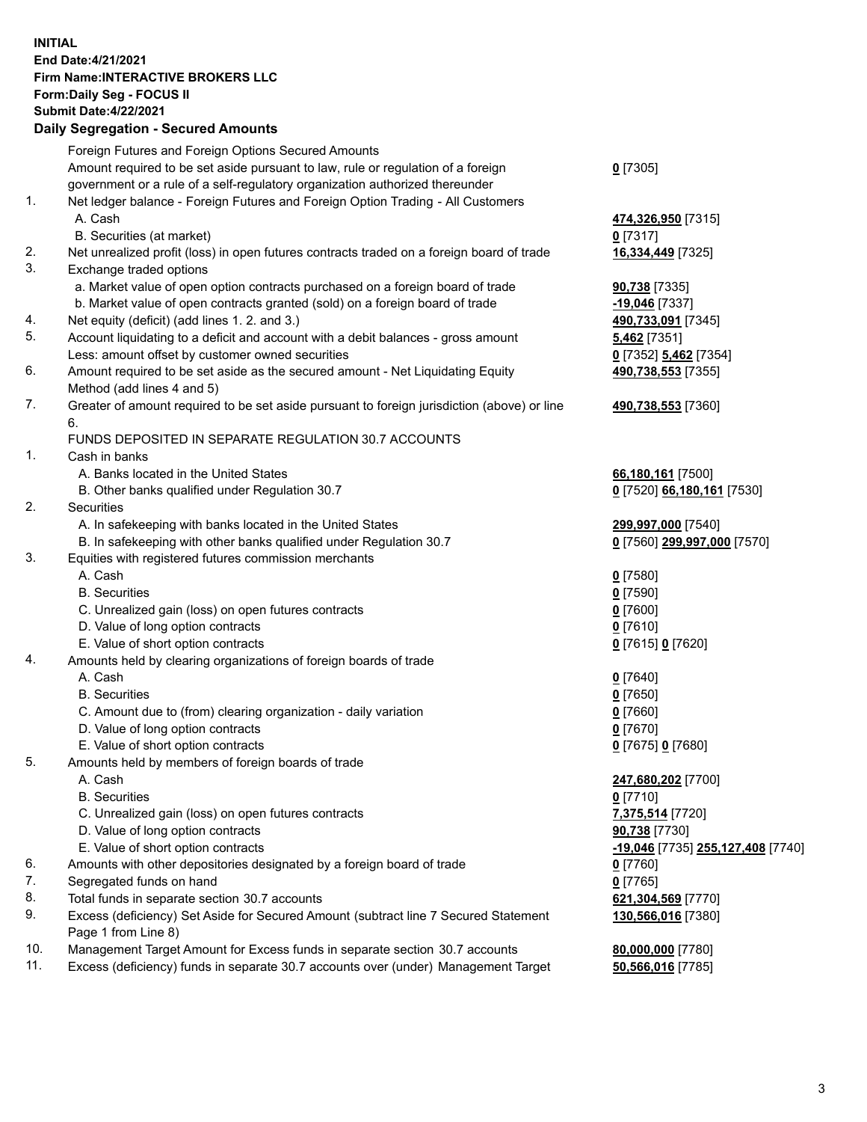## **INITIAL End Date:4/21/2021 Firm Name:INTERACTIVE BROKERS LLC Form:Daily Seg - FOCUS II Submit Date:4/22/2021 Daily Segregation - Secured Amounts**

|     | Dany Ocgregation - Occurea Anioants                                                         |                                   |
|-----|---------------------------------------------------------------------------------------------|-----------------------------------|
|     | Foreign Futures and Foreign Options Secured Amounts                                         |                                   |
|     | Amount required to be set aside pursuant to law, rule or regulation of a foreign            | $0$ [7305]                        |
|     | government or a rule of a self-regulatory organization authorized thereunder                |                                   |
| 1.  | Net ledger balance - Foreign Futures and Foreign Option Trading - All Customers             |                                   |
|     | A. Cash                                                                                     | 474,326,950 [7315]                |
|     | B. Securities (at market)                                                                   | 0 [7317]                          |
| 2.  | Net unrealized profit (loss) in open futures contracts traded on a foreign board of trade   | 16,334,449 [7325]                 |
| 3.  | Exchange traded options                                                                     |                                   |
|     | a. Market value of open option contracts purchased on a foreign board of trade              | 90,738 [7335]                     |
|     | b. Market value of open contracts granted (sold) on a foreign board of trade                | $-19,046$ [7337]                  |
| 4.  | Net equity (deficit) (add lines 1. 2. and 3.)                                               | 490,733,091 [7345]                |
| 5.  | Account liquidating to a deficit and account with a debit balances - gross amount           | 5,462 [7351]                      |
|     | Less: amount offset by customer owned securities                                            | 0 [7352] 5,462 [7354]             |
| 6.  | Amount required to be set aside as the secured amount - Net Liquidating Equity              | 490,738,553 [7355]                |
|     | Method (add lines 4 and 5)                                                                  |                                   |
| 7.  | Greater of amount required to be set aside pursuant to foreign jurisdiction (above) or line | 490,738,553 [7360]                |
|     | 6.                                                                                          |                                   |
|     | FUNDS DEPOSITED IN SEPARATE REGULATION 30.7 ACCOUNTS                                        |                                   |
| 1.  | Cash in banks                                                                               |                                   |
|     | A. Banks located in the United States                                                       | 66,180,161 [7500]                 |
|     | B. Other banks qualified under Regulation 30.7                                              | 0 [7520] 66,180,161 [7530]        |
| 2.  | <b>Securities</b>                                                                           |                                   |
|     | A. In safekeeping with banks located in the United States                                   | 299,997,000 [7540]                |
|     | B. In safekeeping with other banks qualified under Regulation 30.7                          | 0 [7560] 299,997,000 [7570]       |
| 3.  | Equities with registered futures commission merchants                                       |                                   |
|     | A. Cash                                                                                     | $0$ [7580]                        |
|     | <b>B.</b> Securities                                                                        | $0$ [7590]                        |
|     | C. Unrealized gain (loss) on open futures contracts                                         | $0$ [7600]                        |
|     | D. Value of long option contracts                                                           | $0$ [7610]                        |
|     | E. Value of short option contracts                                                          | 0 [7615] 0 [7620]                 |
| 4.  | Amounts held by clearing organizations of foreign boards of trade                           |                                   |
|     | A. Cash                                                                                     | $0$ [7640]                        |
|     | <b>B.</b> Securities                                                                        | $0$ [7650]                        |
|     | C. Amount due to (from) clearing organization - daily variation                             | $0$ [7660]                        |
|     | D. Value of long option contracts                                                           | $0$ [7670]                        |
|     | E. Value of short option contracts                                                          | 0 [7675] 0 [7680]                 |
| 5.  | Amounts held by members of foreign boards of trade                                          |                                   |
|     | A. Cash                                                                                     | 247,680,202 [7700]                |
|     | <b>B.</b> Securities                                                                        | $0$ [7710]                        |
|     | C. Unrealized gain (loss) on open futures contracts                                         | 7,375,514 [7720]                  |
|     | D. Value of long option contracts                                                           | 90,738 [7730]                     |
|     | E. Value of short option contracts                                                          | -19,046 [7735] 255,127,408 [7740] |
| 6.  | Amounts with other depositories designated by a foreign board of trade                      | 0 [7760]                          |
| 7.  | Segregated funds on hand                                                                    | $0$ [7765]                        |
| 8.  | Total funds in separate section 30.7 accounts                                               | 621,304,569 [7770]                |
| 9.  | Excess (deficiency) Set Aside for Secured Amount (subtract line 7 Secured Statement         | 130,566,016 [7380]                |
|     | Page 1 from Line 8)                                                                         |                                   |
| 10. | Management Target Amount for Excess funds in separate section 30.7 accounts                 | 80,000,000 [7780]                 |
| 11. | Excess (deficiency) funds in separate 30.7 accounts over (under) Management Target          | 50,566,016 [7785]                 |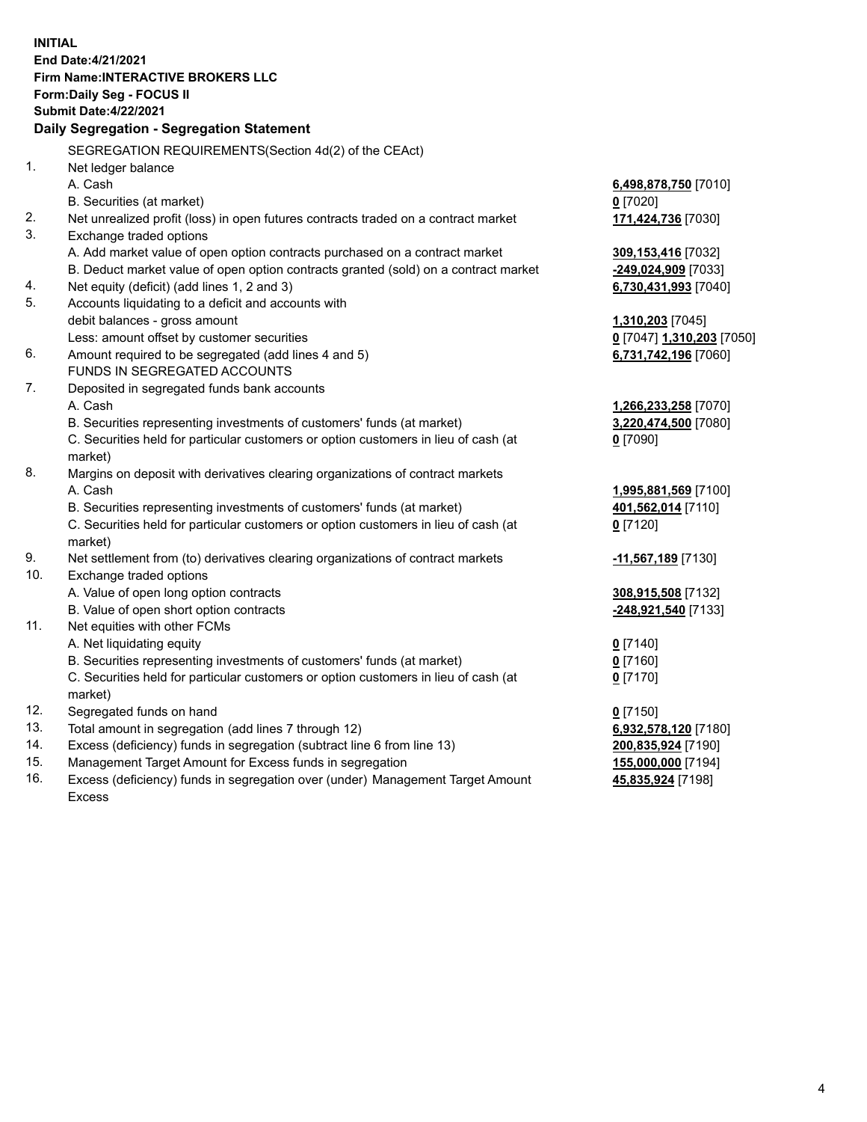**INITIAL End Date:4/21/2021 Firm Name:INTERACTIVE BROKERS LLC Form:Daily Seg - FOCUS II Submit Date:4/22/2021 Daily Segregation - Segregation Statement** SEGREGATION REQUIREMENTS(Section 4d(2) of the CEAct) 1. Net ledger balance A. Cash **6,498,878,750** [7010] B. Securities (at market) **0** [7020] 2. Net unrealized profit (loss) in open futures contracts traded on a contract market **171,424,736** [7030] 3. Exchange traded options A. Add market value of open option contracts purchased on a contract market **309,153,416** [7032] B. Deduct market value of open option contracts granted (sold) on a contract market **-249,024,909** [7033] 4. Net equity (deficit) (add lines 1, 2 and 3) **6,730,431,993** [7040] 5. Accounts liquidating to a deficit and accounts with debit balances - gross amount **1,310,203** [7045] Less: amount offset by customer securities **0** [7047] **1,310,203** [7050] 6. Amount required to be segregated (add lines 4 and 5) **6,731,742,196** [7060] FUNDS IN SEGREGATED ACCOUNTS 7. Deposited in segregated funds bank accounts A. Cash **1,266,233,258** [7070] B. Securities representing investments of customers' funds (at market) **3,220,474,500** [7080] C. Securities held for particular customers or option customers in lieu of cash (at market) **0** [7090] 8. Margins on deposit with derivatives clearing organizations of contract markets A. Cash **1,995,881,569** [7100] B. Securities representing investments of customers' funds (at market) **401,562,014** [7110] C. Securities held for particular customers or option customers in lieu of cash (at market) **0** [7120] 9. Net settlement from (to) derivatives clearing organizations of contract markets **-11,567,189** [7130] 10. Exchange traded options A. Value of open long option contracts **308,915,508** [7132] B. Value of open short option contracts **-248,921,540** [7133] 11. Net equities with other FCMs A. Net liquidating equity **0** [7140] B. Securities representing investments of customers' funds (at market) **0** [7160] C. Securities held for particular customers or option customers in lieu of cash (at market) **0** [7170] 12. Segregated funds on hand **0** [7150] 13. Total amount in segregation (add lines 7 through 12) **6,932,578,120** [7180] 14. Excess (deficiency) funds in segregation (subtract line 6 from line 13) **200,835,924** [7190] 15. Management Target Amount for Excess funds in segregation **155,000,000** [7194] 16. Excess (deficiency) funds in segregation over (under) Management Target Amount **45,835,924** [7198]

Excess